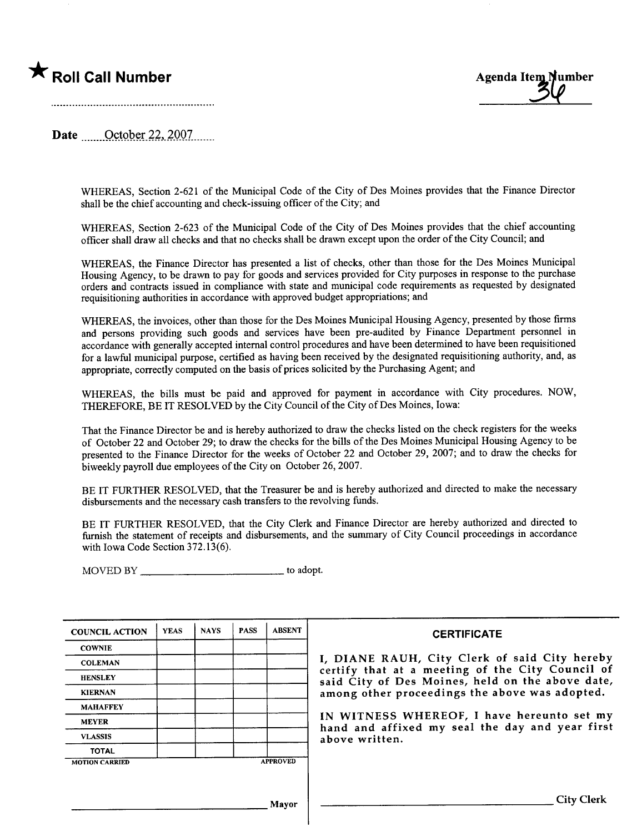# \* Roll Call Number



Date  $\qquad$  October 22, 2007

WHEREAS, Section 2-621 of the Municipal Code of the City of Des Moines provides that the Finance Director shall be the chief accounting and check-issuing officer of the City; and

WHEREAS, Section 2-623 of the Municipal Code of the City of Des Moines provides that the chief accounting officer shall draw all checks and that no checks shall be drawn except upon the order of the City Council; and

WHEREAS, the Finance Director has presented a list of checks, other than those for the Des Moines Municipal Housing Agency, to be drawn to pay for goods and services provided for City purposes in response to the purchase orders and contracts issued in compliance with state and municipal code requirements as requested by designated requisitioning authorities in accordance with approved budget appropriations; and

WHEREAS, the invoices, other than those for the Des Moines Municipal Housing Agency, presented by those firms and persons providing such goods and services have been pre-audited by Finance Department personnel in accordance with generally accepted internal control procedures and have been determined to have been requisitioned for a lawful municipal purpose, certified as having been received by the designated requisitioning authority, and, as appropriate, correctly computed on the basis of prices solicited by the Purchasing Agent; and

WHEREAS, the bils must be paid and approved for payment in accordance with City procedures. NOW, THEREFORE, BE IT RESOLVED by the City Council of the City of Des Moines, Iowa:

That the Finance Director be and is hereby authorized to draw the checks listed on the check registers for the weeks of October 22 and October 29; to draw the checks for the bils of the Des Moines Municipal Housing Agency to be presented to the Finance Director for the weeks of October 22 and October 29, 2007; and to draw the checks for biweekly payroll due employees of the City on October 26, 2007.

BE IT FURTHER RESOLVED, that the Treasurer be and is hereby authorized and directed to make the necessary disbursements and the necessary cash transfers to the revolving funds.

BE IT FURTHER RESOLVED, that the City Clerk and Finance Director are hereby authorized and directed to furnish the statement of receipts and disbursements, and the summary of City Council proceedings in accordance with Iowa Code Section 372.13(6).

MOVED BY \_\_\_\_\_\_\_\_\_\_\_\_\_\_\_\_\_\_\_\_\_\_\_\_\_\_\_\_\_\_\_\_\_ to adopt.

| <b>COUNCIL ACTION</b> | <b>YEAS</b> | <b>NAYS</b> | <b>PASS</b> | <b>ABSENT</b>   | <b>CERTIFICATE</b>                                                                                 |
|-----------------------|-------------|-------------|-------------|-----------------|----------------------------------------------------------------------------------------------------|
| <b>COWNIE</b>         |             |             |             |                 |                                                                                                    |
| <b>COLEMAN</b>        |             |             |             |                 | I, DIANE RAUH, City Clerk of said City hereb                                                       |
| <b>HENSLEY</b>        |             |             |             |                 | certify that at a meeting of the City Council o<br>said City of Des Moines, held on the above date |
| <b>KIERNAN</b>        |             |             |             |                 | among other proceedings the above was adopted.                                                     |
| <b>MAHAFFEY</b>       |             |             |             |                 |                                                                                                    |
| <b>MEYER</b>          |             |             |             |                 | IN WITNESS WHEREOF, I have hereunto set m<br>hand and affixed my seal the day and year firs        |
| <b>VLASSIS</b>        |             |             |             |                 | above written.                                                                                     |
| <b>TOTAL</b>          |             |             |             |                 |                                                                                                    |
| <b>MOTION CARRIED</b> |             |             |             | <b>APPROVED</b> |                                                                                                    |
|                       |             |             |             |                 |                                                                                                    |
|                       |             |             |             | Mayor           | <b>City Clerk</b>                                                                                  |

#### **CERTIFICATE**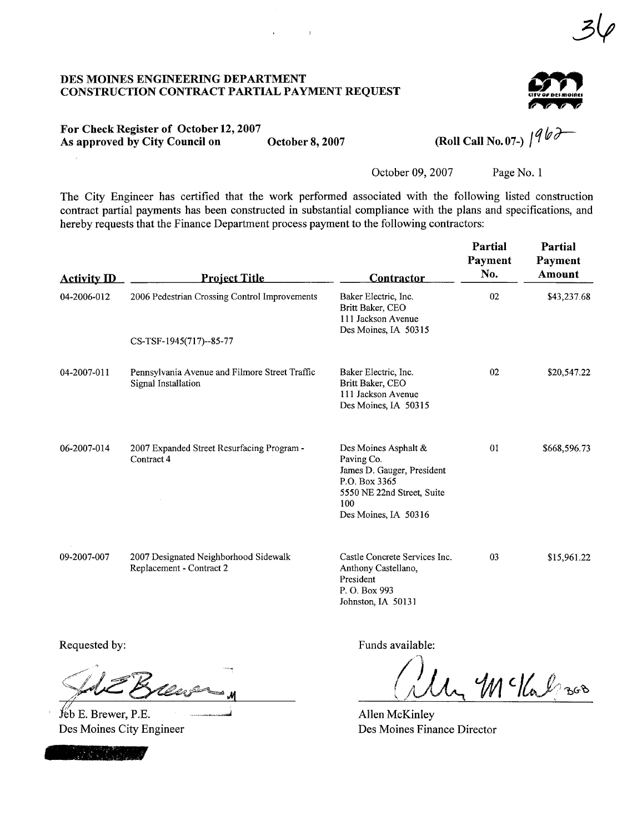#### DES MOINES ENGINEERIG DEPARTMENT CONSTRUCTION CONTRACT PARTIAL PAYMENT REQUEST



3V

#### For Check Register of October 12, 2007 As approved by City Council on  $\overline{O}$  October 8, 2007 (Roll Call No. 07-)

October 09, 2007 Page No. 1

The City Engineer has certified that the work performed associated with the following listed construction contract parial payments has been constructed in substantial compliance with the plans and specifications, and hereby requests that the Finance Department process payment to the following contractors:

 $\epsilon$  , and  $\epsilon$  , and  $\epsilon$ 

| <b>Activity ID</b> | <b>Project Title</b>                                                  | <b>Contractor</b>                                                                                                                              | Partial<br>Payment<br>No. | Partial<br>Payment<br>Amount |
|--------------------|-----------------------------------------------------------------------|------------------------------------------------------------------------------------------------------------------------------------------------|---------------------------|------------------------------|
| 04-2006-012        | 2006 Pedestrian Crossing Control Improvements                         | Baker Electric, Inc.<br>Britt Baker, CEO<br>111 Jackson Avenue<br>Des Moines, IA 50315                                                         | 02                        | \$43,237.68                  |
|                    | CS-TSF-1945(717)--85-77                                               |                                                                                                                                                |                           |                              |
| 04-2007-011        | Pennsylvania Avenue and Filmore Street Traffic<br>Signal Installation | Baker Electric, Inc.<br>Britt Baker, CEO<br>111 Jackson Avenue<br>Des Moines, IA 50315                                                         | 02                        | \$20,547.22                  |
| 06-2007-014        | 2007 Expanded Street Resurfacing Program -<br>Contract 4              | Des Moines Asphalt &<br>Paving Co.<br>James D. Gauger, President<br>P.O. Box 3365<br>5550 NE 22nd Street, Suite<br>100<br>Des Moines, IA 50316 | 01                        | \$668,596.73                 |
| 09-2007-007        | 2007 Designated Neighborhood Sidewalk<br>Replacement - Contract 2     | Castle Concrete Services Inc.<br>Anthony Castellano,<br>President<br>P. O. Box 993<br>Johnston, IA 50131                                       | 03                        | \$15,961.22                  |

Requested by:<br>Sale Brees

 $f$  b E. Brewer, P.E. Des Moines City Engineer



Funds available:

vailable:<br>My McKalzsos

Allen McKinley Des Moines Finance Director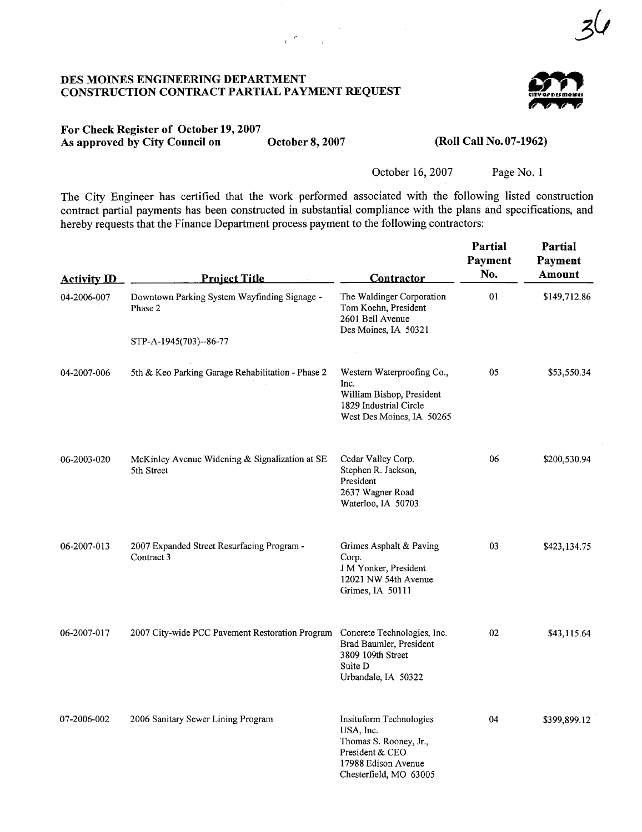## DES MOINES ENGINEERIG DEPARTMENT CONSTRUCTION CONTRACT PARTIAL PAYMENT REQUEST



3&

#### For Check Register of October 19, 2007 As approved by City Council on October 8, 2007

 $e^{-\frac{2\pi i}{n}}$ 

#### (Roll Call No. 07-1962)

October 16, 2007 Page No. 1

The City Engineer has certified that the work performed associated with the following listed construction contract partial payments has been constructed in substantial compliance with the plans and specifications, and hereby requests that the Finance Department process payment to the following contractors:

| <b>Activity ID</b> | <b>Project Title</b>                                                        | Contractor                                                                                                                         | <b>Partial</b><br>Payment<br>No. | Partial<br>Payment<br>Amount |
|--------------------|-----------------------------------------------------------------------------|------------------------------------------------------------------------------------------------------------------------------------|----------------------------------|------------------------------|
| 04-2006-007        | Downtown Parking System Wayfinding Signage -<br>Phase 2                     | The Waldinger Corporation<br>Tom Koehn, President<br>2601 Bell Avenue<br>Des Moines, IA 50321                                      | 01                               | \$149,712.86                 |
|                    | STP-A-1945(703)--86-77                                                      |                                                                                                                                    |                                  |                              |
| 04-2007-006        | 5th & Keo Parking Garage Rehabilitation - Phase 2                           | Western Waterproofing Co.,<br>Inc.<br>William Bishop, President<br>1829 Industrial Circle<br>West Des Moines, IA 50265             | 05                               | \$53,550.34                  |
| 06-2003-020        | McKinley Avenue Widening & Signalization at SE<br>5th Street                | Cedar Valley Corp.<br>Stephen R. Jackson,<br>President<br>2637 Wagner Road<br>Waterloo, IA 50703                                   | 06                               | \$200,530.94                 |
| 06-2007-013        | 2007 Expanded Street Resurfacing Program -<br>Contract 3                    | Grimes Asphalt & Paving<br>Corp.<br>J M Yonker, President<br>12021 NW 54th Avenue<br>Grimes, IA 50111                              | 03                               | \$423,134.75                 |
| 06-2007-017        | 2007 City-wide PCC Pavement Restoration Program Concrete Technologies, Inc. | Brad Baumler, President<br>3809 109th Street<br>Suite D<br>Urbandale, IA 50322                                                     | 02                               | \$43,115.64                  |
| 07-2006-002        | 2006 Sanitary Sewer Lining Program                                          | Insituform Technologies<br>USA, Inc.<br>Thomas S. Rooney, Jr.,<br>President & CEO<br>17988 Edison Avenue<br>Chesterfield, MO 63005 | 04                               | \$399,899.12                 |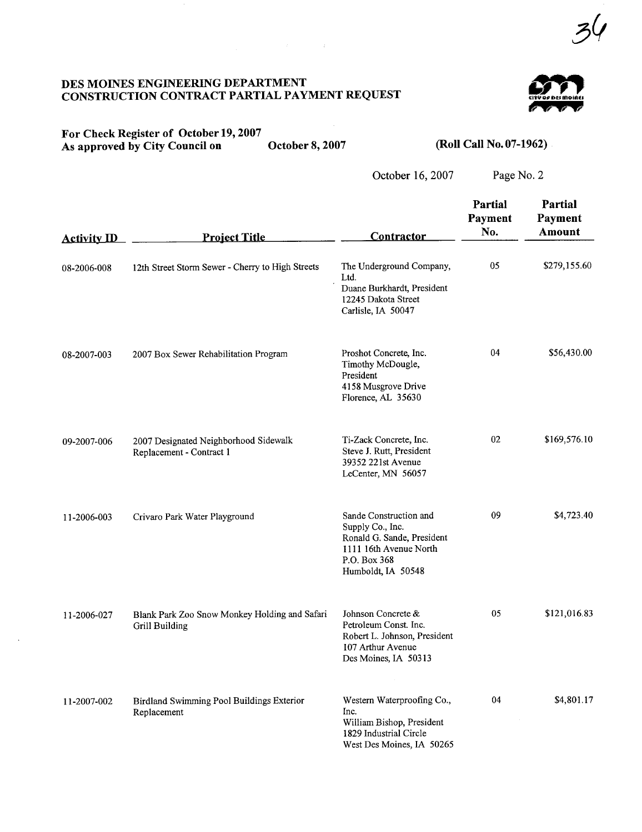## DES MOINES ENGINEERIG DEPARTMENT CONSTRUCTION CONTRACT PARTIAL PAYMENT REQUEST



## For Check Register of October 19, 2007 As approved by City Council on October 8, 2007

 $\sim$ 

 $\sim 10^7$ 

 $\mathcal{L}^{\text{max}}_{\text{max}}(x)$  , where  $\mathcal{L}^{\text{max}}_{\text{max}}(x)$ 

# (Roll Call No. 07-1962)

October 16, 2007

| <b>Activity ID</b> | <b>Project Title</b>                                              | <b>Contractor</b>                                                                                                                        | Partial<br>Payment<br>No. | Partial<br><b>Payment</b><br><b>Amount</b> |
|--------------------|-------------------------------------------------------------------|------------------------------------------------------------------------------------------------------------------------------------------|---------------------------|--------------------------------------------|
| 08-2006-008        | 12th Street Storm Sewer - Cherry to High Streets                  | The Underground Company,<br>Ltd.<br>Duane Burkhardt, President<br>12245 Dakota Street<br>Carlisle, IA 50047                              | 05                        | \$279,155.60                               |
| 08-2007-003        | 2007 Box Sewer Rehabilitation Program                             | Proshot Concrete, Inc.<br>Timothy McDougle,<br>President<br>4158 Musgrove Drive<br>Florence, AL 35630                                    | 04                        | \$56,430.00                                |
| 09-2007-006        | 2007 Designated Neighborhood Sidewalk<br>Replacement - Contract 1 | Ti-Zack Concrete, Inc.<br>Steve J. Rutt, President<br>39352 221st Avenue<br>LeCenter, MN 56057                                           | 02                        | \$169,576.10                               |
| 11-2006-003        | Crivaro Park Water Playground                                     | Sande Construction and<br>Supply Co., Inc.<br>Ronald G. Sande, President<br>1111 16th Avenue North<br>P.O. Box 368<br>Humboldt, IA 50548 | 09                        | \$4,723.40                                 |
| 11-2006-027        | Blank Park Zoo Snow Monkey Holding and Safari<br>Grill Building   | Johnson Concrete &<br>Petroleum Const. Inc.<br>Robert L. Johnson, President<br>107 Arthur Avenue<br>Des Moines, IA 50313                 | 05                        | \$121,016.83                               |
| 11-2007-002        | Birdland Swimming Pool Buildings Exterior<br>Replacement          | Western Waterproofing Co.,<br>Inc.<br>William Bishop, President<br>1829 Industrial Circle<br>West Des Moines, IA 50265                   | 04                        | \$4,801.17                                 |